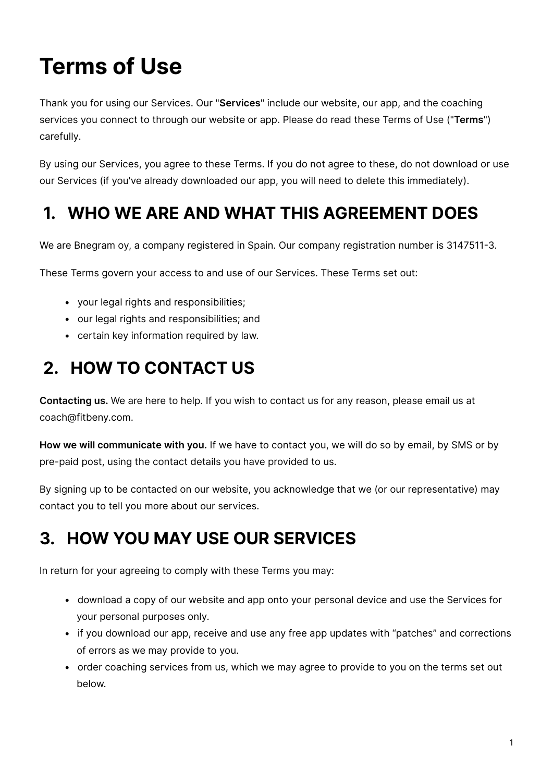# **Terms of Use**

Thank you for using our Services. Our "**Services**" include our website, our app, and the coaching services you connect to through our website or app. Please do read these Terms of Use ("**Terms**") carefully.

By using our Services, you agree to these Terms. If you do not agree to these, do not download or use our Services (if you've already downloaded our app, you will need to delete this immediately).

#### **1. WHO WE ARE AND WHAT THIS AGREEMENT DOES**

We are Bnegram oy, a company registered in Spain. Our company registration number is 3147511-3.

These Terms govern your access to and use of our Services. These Terms set out:

- your legal rights and responsibilities;
- our legal rights and responsibilities; and
- certain key information required by law.

### **2. HOW TO CONTACT US**

**Contacting us.** We are here to help. If you wish to contact us for any reason, please email us at coach@fitbeny.com.

**How we will communicate with you.** If we have to contact you, we will do so by email, by SMS or by pre-paid post, using the contact details you have provided to us.

By signing up to be contacted on our website, you acknowledge that we (or our representative) may contact you to tell you more about our services.

#### **3. HOW YOU MAY USE OUR SERVICES**

In return for your agreeing to comply with these Terms you may:

- download a copy of our website and app onto your personal device and use the Services for your personal purposes only.
- if you download our app, receive and use any free app updates with "patches" and corrections of errors as we may provide to you.
- order coaching services from us, which we may agree to provide to you on the terms set out below.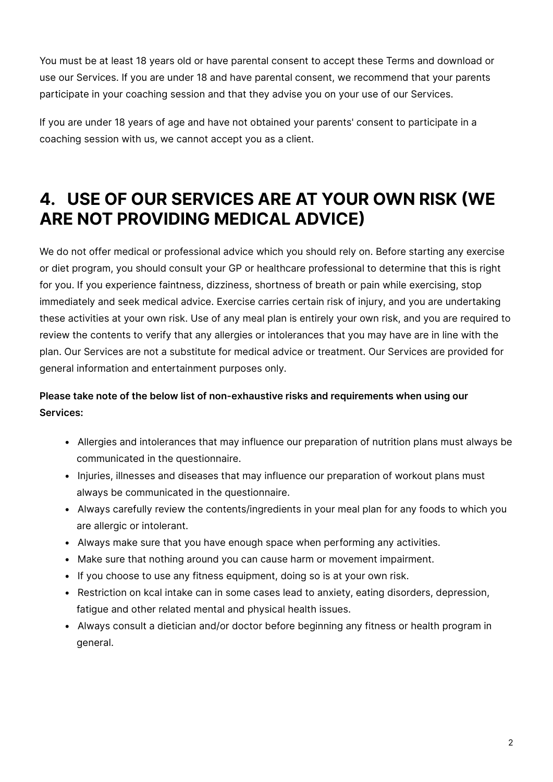You must be at least 18 years old or have parental consent to accept these Terms and download or use our Services. If you are under 18 and have parental consent, we recommend that your parents participate in your coaching session and that they advise you on your use of our Services.

If you are under 18 years of age and have not obtained your parents' consent to participate in a coaching session with us, we cannot accept you as a client.

#### **4. USE OF OUR SERVICES ARE AT YOUR OWN RISK (WE ARE NOT PROVIDING MEDICAL ADVICE)**

We do not offer medical or professional advice which you should rely on. Before starting any exercise or diet program, you should consult your GP or healthcare professional to determine that this is right for you. If you experience faintness, dizziness, shortness of breath or pain while exercising, stop immediately and seek medical advice. Exercise carries certain risk of injury, and you are undertaking these activities at your own risk. Use of any meal plan is entirely your own risk, and you are required to review the contents to verify that any allergies or intolerances that you may have are in line with the plan. Our Services are not a substitute for medical advice or treatment. Our Services are provided for general information and entertainment purposes only.

#### **Please take note of the below list of non-exhaustive risks and requirements when using our Services:**

- Allergies and intolerances that may influence our preparation of nutrition plans must always be communicated in the questionnaire.
- Injuries, illnesses and diseases that may influence our preparation of workout plans must always be communicated in the questionnaire.
- Always carefully review the contents/ingredients in your meal plan for any foods to which you are allergic or intolerant.
- Always make sure that you have enough space when performing any activities.
- Make sure that nothing around you can cause harm or movement impairment.
- If you choose to use any fitness equipment, doing so is at your own risk.
- Restriction on kcal intake can in some cases lead to anxiety, eating disorders, depression, fatigue and other related mental and physical health issues.
- Always consult a dietician and/or doctor before beginning any fitness or health program in general.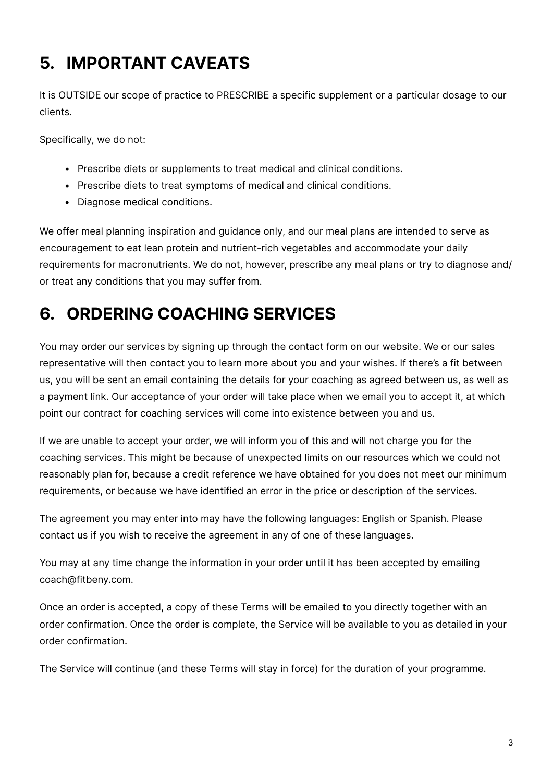# **5. IMPORTANT CAVEATS**

It is OUTSIDE our scope of practice to PRESCRIBE a specific supplement or a particular dosage to our clients.

Specifically, we do not:

- Prescribe diets or supplements to treat medical and clinical conditions.
- Prescribe diets to treat symptoms of medical and clinical conditions.
- Diagnose medical conditions.

We offer meal planning inspiration and guidance only, and our meal plans are intended to serve as encouragement to eat lean protein and nutrient-rich vegetables and accommodate your daily requirements for macronutrients. We do not, however, prescribe any meal plans or try to diagnose and/ or treat any conditions that you may suffer from.

# **6. ORDERING COACHING SERVICES**

You may order our services by signing up through the contact form on our website. We or our sales representative will then contact you to learn more about you and your wishes. If there's a fit between us, you will be sent an email containing the details for your coaching as agreed between us, as well as a payment link. Our acceptance of your order will take place when we email you to accept it, at which point our contract for coaching services will come into existence between you and us.

If we are unable to accept your order, we will inform you of this and will not charge you for the coaching services. This might be because of unexpected limits on our resources which we could not reasonably plan for, because a credit reference we have obtained for you does not meet our minimum requirements, or because we have identified an error in the price or description of the services.

The agreement you may enter into may have the following languages: English or Spanish. Please contact us if you wish to receive the agreement in any of one of these languages.

You may at any time change the information in your order until it has been accepted by emailing coach@fitbeny.com.

Once an order is accepted, a copy of these Terms will be emailed to you directly together with an order confirmation. Once the order is complete, the Service will be available to you as detailed in your order confirmation.

The Service will continue (and these Terms will stay in force) for the duration of your programme.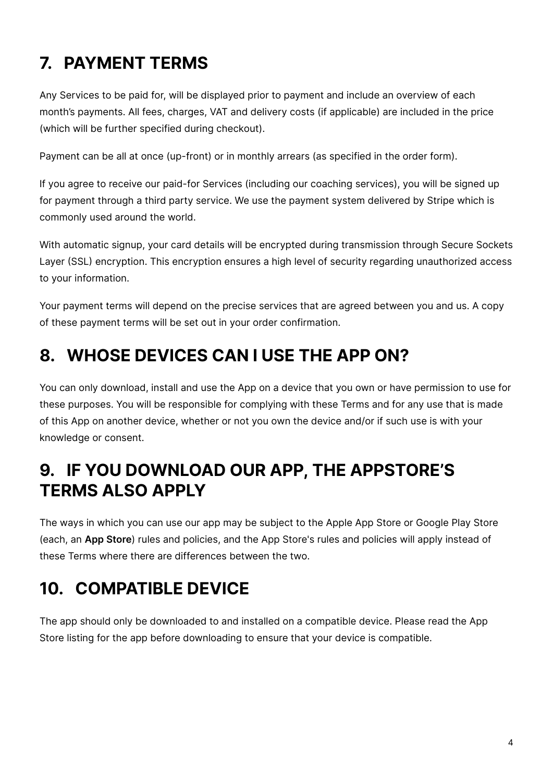# **7. PAYMENT TERMS**

Any Services to be paid for, will be displayed prior to payment and include an overview of each month's payments. All fees, charges, VAT and delivery costs (if applicable) are included in the price (which will be further specified during checkout).

Payment can be all at once (up-front) or in monthly arrears (as specified in the order form).

If you agree to receive our paid-for Services (including our coaching services), you will be signed up for payment through a third party service. We use the payment system delivered by Stripe which is commonly used around the world.

With automatic signup, your card details will be encrypted during transmission through Secure Sockets Layer (SSL) encryption. This encryption ensures a high level of security regarding unauthorized access to your information.

Your payment terms will depend on the precise services that are agreed between you and us. A copy of these payment terms will be set out in your order confirmation.

#### **8. WHOSE DEVICES CAN I USE THE APP ON?**

You can only download, install and use the App on a device that you own or have permission to use for these purposes. You will be responsible for complying with these Terms and for any use that is made of this App on another device, whether or not you own the device and/or if such use is with your knowledge or consent.

#### **9. IF YOU DOWNLOAD OUR APP, THE APPSTORE'S TERMS ALSO APPLY**

The ways in which you can use our app may be subject to the Apple App Store or Google Play Store (each, an **App Store**) rules and policies, and the App Store's rules and policies will apply instead of these Terms where there are differences between the two.

## **10. COMPATIBLE DEVICE**

The app should only be downloaded to and installed on a compatible device. Please read the App Store listing for the app before downloading to ensure that your device is compatible.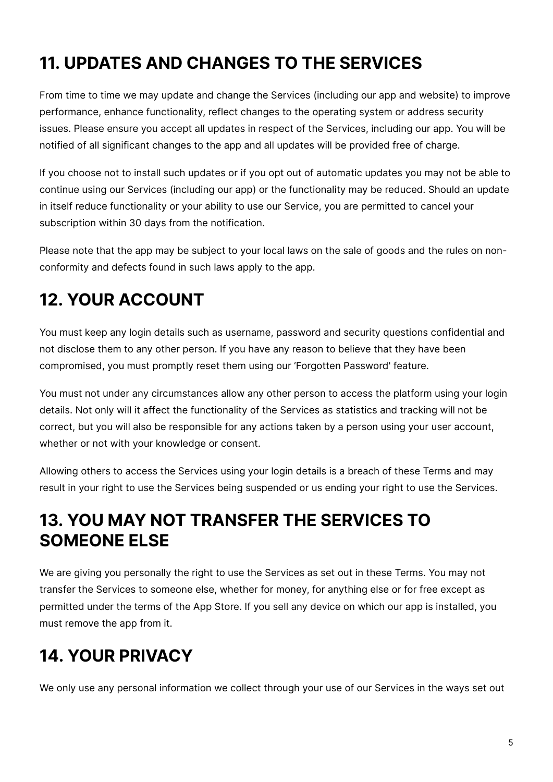# **11. UPDATES AND CHANGES TO THE SERVICES**

From time to time we may update and change the Services (including our app and website) to improve performance, enhance functionality, reflect changes to the operating system or address security issues. Please ensure you accept all updates in respect of the Services, including our app. You will be notified of all significant changes to the app and all updates will be provided free of charge.

If you choose not to install such updates or if you opt out of automatic updates you may not be able to continue using our Services (including our app) or the functionality may be reduced. Should an update in itself reduce functionality or your ability to use our Service, you are permitted to cancel your subscription within 30 days from the notification.

Please note that the app may be subject to your local laws on the sale of goods and the rules on nonconformity and defects found in such laws apply to the app.

# **12. YOUR ACCOUNT**

You must keep any login details such as username, password and security questions confidential and not disclose them to any other person. If you have any reason to believe that they have been compromised, you must promptly reset them using our 'Forgotten Password' feature.

You must not under any circumstances allow any other person to access the platform using your login details. Not only will it affect the functionality of the Services as statistics and tracking will not be correct, but you will also be responsible for any actions taken by a person using your user account, whether or not with your knowledge or consent.

Allowing others to access the Services using your login details is a breach of these Terms and may result in your right to use the Services being suspended or us ending your right to use the Services.

#### **13. YOU MAY NOT TRANSFER THE SERVICES TO SOMEONE ELSE**

We are giving you personally the right to use the Services as set out in these Terms. You may not transfer the Services to someone else, whether for money, for anything else or for free except as permitted under the terms of the App Store. If you sell any device on which our app is installed, you must remove the app from it.

## **14. YOUR PRIVACY**

We only use any personal information we collect through your use of our Services in the ways set out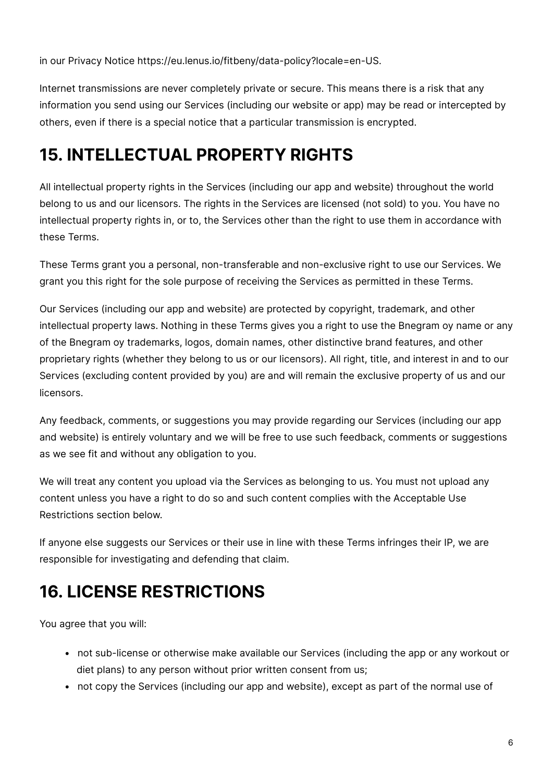in our Privacy Notice https://eu.lenus.io/fitbeny/data-policy?locale=en-US.

Internet transmissions are never completely private or secure. This means there is a risk that any information you send using our Services (including our website or app) may be read or intercepted by others, even if there is a special notice that a particular transmission is encrypted.

### **15. INTELLECTUAL PROPERTY RIGHTS**

All intellectual property rights in the Services (including our app and website) throughout the world belong to us and our licensors. The rights in the Services are licensed (not sold) to you. You have no intellectual property rights in, or to, the Services other than the right to use them in accordance with these Terms.

These Terms grant you a personal, non-transferable and non-exclusive right to use our Services. We grant you this right for the sole purpose of receiving the Services as permitted in these Terms.

Our Services (including our app and website) are protected by copyright, trademark, and other intellectual property laws. Nothing in these Terms gives you a right to use the Bnegram oy name or any of the Bnegram oy trademarks, logos, domain names, other distinctive brand features, and other proprietary rights (whether they belong to us or our licensors). All right, title, and interest in and to our Services (excluding content provided by you) are and will remain the exclusive property of us and our licensors.

Any feedback, comments, or suggestions you may provide regarding our Services (including our app and website) is entirely voluntary and we will be free to use such feedback, comments or suggestions as we see fit and without any obligation to you.

We will treat any content you upload via the Services as belonging to us. You must not upload any content unless you have a right to do so and such content complies with the Acceptable Use Restrictions section below.

If anyone else suggests our Services or their use in line with these Terms infringes their IP, we are responsible for investigating and defending that claim.

# **16. LICENSE RESTRICTIONS**

You agree that you will:

- not sub-license or otherwise make available our Services (including the app or any workout or diet plans) to any person without prior written consent from us;
- not copy the Services (including our app and website), except as part of the normal use of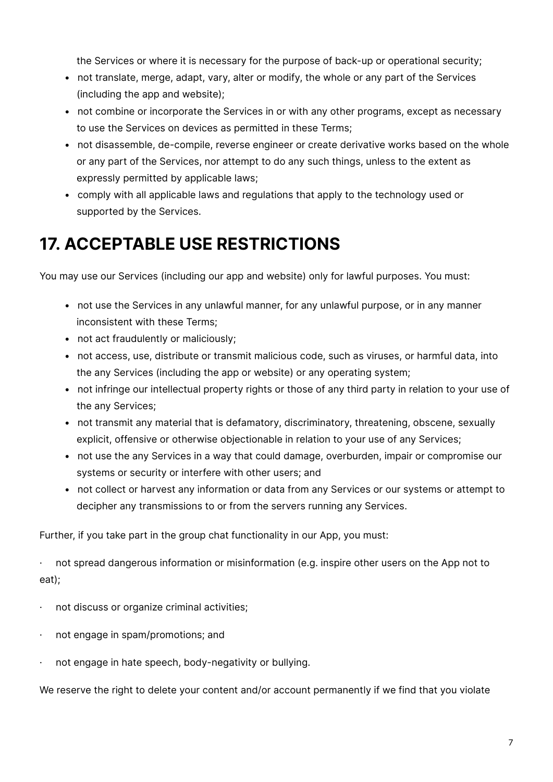the Services or where it is necessary for the purpose of back-up or operational security;

- not translate, merge, adapt, vary, alter or modify, the whole or any part of the Services (including the app and website);
- not combine or incorporate the Services in or with any other programs, except as necessary to use the Services on devices as permitted in these Terms;
- not disassemble, de-compile, reverse engineer or create derivative works based on the whole or any part of the Services, nor attempt to do any such things, unless to the extent as expressly permitted by applicable laws;
- comply with all applicable laws and regulations that apply to the technology used or supported by the Services.

#### **17. ACCEPTABLE USE RESTRICTIONS**

You may use our Services (including our app and website) only for lawful purposes. You must:

- not use the Services in any unlawful manner, for any unlawful purpose, or in any manner inconsistent with these Terms;
- not act fraudulently or maliciously;
- not access, use, distribute or transmit malicious code, such as viruses, or harmful data, into the any Services (including the app or website) or any operating system;
- not infringe our intellectual property rights or those of any third party in relation to your use of the any Services;
- not transmit any material that is defamatory, discriminatory, threatening, obscene, sexually explicit, offensive or otherwise objectionable in relation to your use of any Services;
- not use the any Services in a way that could damage, overburden, impair or compromise our systems or security or interfere with other users; and
- not collect or harvest any information or data from any Services or our systems or attempt to decipher any transmissions to or from the servers running any Services.

Further, if you take part in the group chat functionality in our App, you must:

not spread dangerous information or misinformation (e.g. inspire other users on the App not to eat);

- · not discuss or organize criminal activities;
- · not engage in spam/promotions; and
- · not engage in hate speech, body-negativity or bullying.

We reserve the right to delete your content and/or account permanently if we find that you violate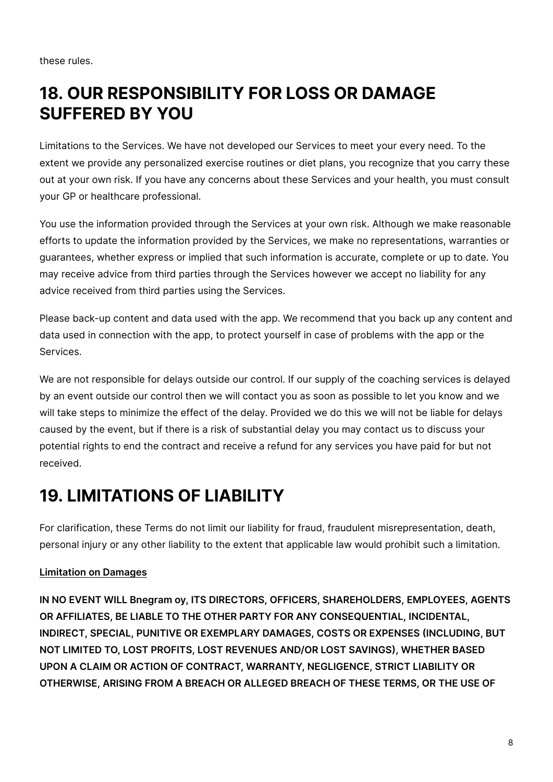these rules.

#### **18. OUR RESPONSIBILITY FOR LOSS OR DAMAGE SUFFERED BY YOU**

Limitations to the Services. We have not developed our Services to meet your every need. To the extent we provide any personalized exercise routines or diet plans, you recognize that you carry these out at your own risk. If you have any concerns about these Services and your health, you must consult your GP or healthcare professional.

You use the information provided through the Services at your own risk. Although we make reasonable efforts to update the information provided by the Services, we make no representations, warranties or guarantees, whether express or implied that such information is accurate, complete or up to date. You may receive advice from third parties through the Services however we accept no liability for any advice received from third parties using the Services.

Please back-up content and data used with the app. We recommend that you back up any content and data used in connection with the app, to protect yourself in case of problems with the app or the Services.

We are not responsible for delays outside our control. If our supply of the coaching services is delayed by an event outside our control then we will contact you as soon as possible to let you know and we will take steps to minimize the effect of the delay. Provided we do this we will not be liable for delays caused by the event, but if there is a risk of substantial delay you may contact us to discuss your potential rights to end the contract and receive a refund for any services you have paid for but not received.

#### **19. LIMITATIONS OF LIABILITY**

For clarification, these Terms do not limit our liability for fraud, fraudulent misrepresentation, death, personal injury or any other liability to the extent that applicable law would prohibit such a limitation.

#### **Limitation on Damages**

**IN NO EVENT WILL Bnegram oy, ITS DIRECTORS, OFFICERS, SHAREHOLDERS, EMPLOYEES, AGENTS OR AFFILIATES, BE LIABLE TO THE OTHER PARTY FOR ANY CONSEQUENTIAL, INCIDENTAL, INDIRECT, SPECIAL, PUNITIVE OR EXEMPLARY DAMAGES, COSTS OR EXPENSES (INCLUDING, BUT NOT LIMITED TO, LOST PROFITS, LOST REVENUES AND/OR LOST SAVINGS), WHETHER BASED UPON A CLAIM OR ACTION OF CONTRACT, WARRANTY, NEGLIGENCE, STRICT LIABILITY OR OTHERWISE, ARISING FROM A BREACH OR ALLEGED BREACH OF THESE TERMS, OR THE USE OF**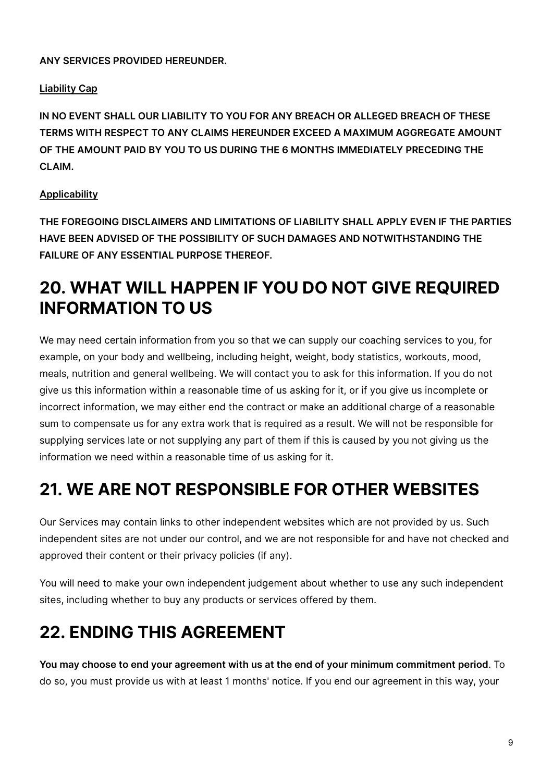**ANY SERVICES PROVIDED HEREUNDER.**

#### **Liability Cap**

**IN NO EVENT SHALL OUR LIABILITY TO YOU FOR ANY BREACH OR ALLEGED BREACH OF THESE TERMS WITH RESPECT TO ANY CLAIMS HEREUNDER EXCEED A MAXIMUM AGGREGATE AMOUNT OF THE AMOUNT PAID BY YOU TO US DURING THE 6 MONTHS IMMEDIATELY PRECEDING THE CLAIM.**

#### **Applicability**

**THE FOREGOING DISCLAIMERS AND LIMITATIONS OF LIABILITY SHALL APPLY EVEN IF THE PARTIES HAVE BEEN ADVISED OF THE POSSIBILITY OF SUCH DAMAGES AND NOTWITHSTANDING THE FAILURE OF ANY ESSENTIAL PURPOSE THEREOF.**

#### **20. WHAT WILL HAPPEN IF YOU DO NOT GIVE REQUIRED INFORMATION TO US**

We may need certain information from you so that we can supply our coaching services to you, for example, on your body and wellbeing, including height, weight, body statistics, workouts, mood, meals, nutrition and general wellbeing. We will contact you to ask for this information. If you do not give us this information within a reasonable time of us asking for it, or if you give us incomplete or incorrect information, we may either end the contract or make an additional charge of a reasonable sum to compensate us for any extra work that is required as a result. We will not be responsible for supplying services late or not supplying any part of them if this is caused by you not giving us the information we need within a reasonable time of us asking for it.

#### **21. WE ARE NOT RESPONSIBLE FOR OTHER WEBSITES**

Our Services may contain links to other independent websites which are not provided by us. Such independent sites are not under our control, and we are not responsible for and have not checked and approved their content or their privacy policies (if any).

You will need to make your own independent judgement about whether to use any such independent sites, including whether to buy any products or services offered by them.

## **22. ENDING THIS AGREEMENT**

**You may choose to end your agreement with us at the end of your minimum commitment period**. To do so, you must provide us with at least 1 months' notice. If you end our agreement in this way, your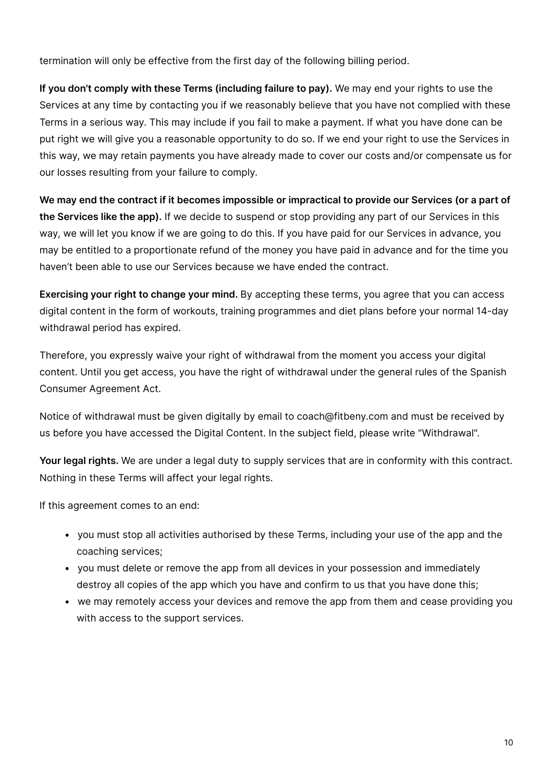termination will only be effective from the first day of the following billing period.

**If you don't comply with these Terms (including failure to pay).** We may end your rights to use the Services at any time by contacting you if we reasonably believe that you have not complied with these Terms in a serious way. This may include if you fail to make a payment. If what you have done can be put right we will give you a reasonable opportunity to do so. If we end your right to use the Services in this way, we may retain payments you have already made to cover our costs and/or compensate us for our losses resulting from your failure to comply.

**We may end the contract if it becomes impossible or impractical to provide our Services (or a part of the Services like the app).** If we decide to suspend or stop providing any part of our Services in this way, we will let you know if we are going to do this. If you have paid for our Services in advance, you may be entitled to a proportionate refund of the money you have paid in advance and for the time you haven't been able to use our Services because we have ended the contract.

**Exercising your right to change your mind.** By accepting these terms, you agree that you can access digital content in the form of workouts, training programmes and diet plans before your normal 14-day withdrawal period has expired.

Therefore, you expressly waive your right of withdrawal from the moment you access your digital content. Until you get access, you have the right of withdrawal under the general rules of the Spanish Consumer Agreement Act.

Notice of withdrawal must be given digitally by email to coach@fitbeny.com and must be received by us before you have accessed the Digital Content. In the subject field, please write "Withdrawal".

**Your legal rights.** We are under a legal duty to supply services that are in conformity with this contract. Nothing in these Terms will affect your legal rights.

If this agreement comes to an end:

- you must stop all activities authorised by these Terms, including your use of the app and the coaching services;
- you must delete or remove the app from all devices in your possession and immediately destroy all copies of the app which you have and confirm to us that you have done this;
- we may remotely access your devices and remove the app from them and cease providing you with access to the support services.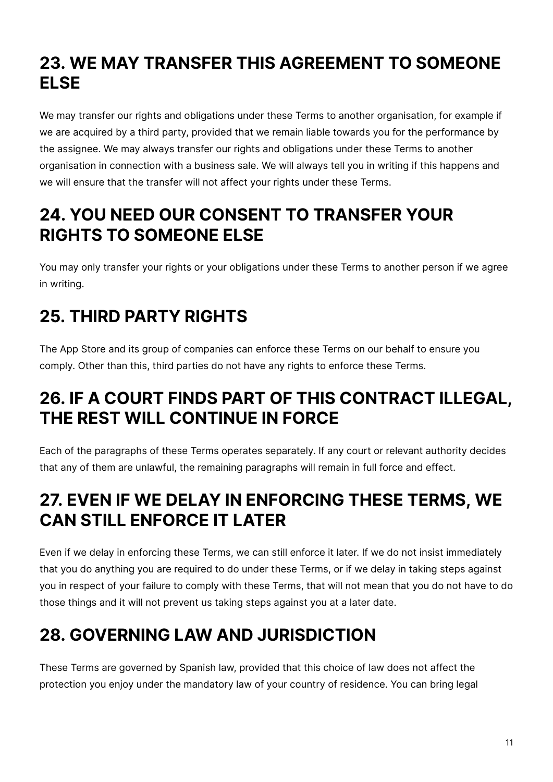### **23. WE MAY TRANSFER THIS AGREEMENT TO SOMEONE ELSE**

We may transfer our rights and obligations under these Terms to another organisation, for example if we are acquired by a third party, provided that we remain liable towards you for the performance by the assignee. We may always transfer our rights and obligations under these Terms to another organisation in connection with a business sale. We will always tell you in writing if this happens and we will ensure that the transfer will not affect your rights under these Terms.

#### **24. YOU NEED OUR CONSENT TO TRANSFER YOUR RIGHTS TO SOMEONE ELSE**

You may only transfer your rights or your obligations under these Terms to another person if we agree in writing.

# **25. THIRD PARTY RIGHTS**

The App Store and its group of companies can enforce these Terms on our behalf to ensure you comply. Other than this, third parties do not have any rights to enforce these Terms.

#### **26. IF A COURT FINDS PART OF THIS CONTRACT ILLEGAL, THE REST WILL CONTINUE IN FORCE**

Each of the paragraphs of these Terms operates separately. If any court or relevant authority decides that any of them are unlawful, the remaining paragraphs will remain in full force and effect.

#### **27. EVEN IF WE DELAY IN ENFORCING THESE TERMS, WE CAN STILL ENFORCE IT LATER**

Even if we delay in enforcing these Terms, we can still enforce it later. If we do not insist immediately that you do anything you are required to do under these Terms, or if we delay in taking steps against you in respect of your failure to comply with these Terms, that will not mean that you do not have to do those things and it will not prevent us taking steps against you at a later date.

# **28. GOVERNING LAW AND JURISDICTION**

These Terms are governed by Spanish law, provided that this choice of law does not affect the protection you enjoy under the mandatory law of your country of residence. You can bring legal